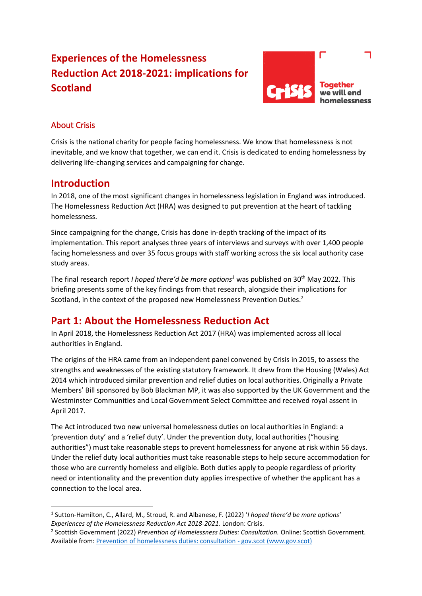# **Experiences of the Homelessness Reduction Act 2018-2021: implications for Scotland**



# About Crisis

Crisis is the national charity for people facing homelessness. We know that homelessness is not inevitable, and we know that together, we can end it. Crisis is dedicated to ending homelessness by delivering life-changing services and campaigning for change.

# **Introduction**

In 2018, one of the most significant changes in homelessness legislation in England was introduced. The Homelessness Reduction Act (HRA) was designed to put prevention at the heart of tackling homelessness.

Since campaigning for the change, Crisis has done in-depth tracking of the impact of its implementation. This report analyses three years of interviews and surveys with over 1,400 people facing homelessness and over 35 focus groups with staff working across the six local authority case study areas.

The final research report *I hoped there'd be more options<sup>1</sup>* was published on 30<sup>th</sup> May 2022. This briefing presents some of the key findings from that research, alongside their implications for Scotland, in the context of the proposed new Homelessness Prevention Duties.<sup>2</sup>

# **Part 1: About the Homelessness Reduction Act**

In April 2018, the Homelessness Reduction Act 2017 (HRA) was implemented across all local authorities in England.

The origins of the HRA came from an independent panel convened by Crisis in 2015, to assess the strengths and weaknesses of the existing statutory framework. It drew from the Housing (Wales) Act 2014 which introduced similar prevention and relief duties on local authorities. Originally a Private Members' Bill sponsored by Bob Blackman MP, it was also supported by the UK Government and the Westminster Communities and Local Government Select Committee and received royal assent in April 2017.

The Act introduced two new universal homelessness duties on local authorities in England: a 'prevention duty' and a 'relief duty'. Under the prevention duty, local authorities ("housing authorities") must take reasonable steps to prevent homelessness for anyone at risk within 56 days. Under the relief duty local authorities must take reasonable steps to help secure accommodation for those who are currently homeless and eligible. Both duties apply to people regardless of priority need or intentionality and the prevention duty applies irrespective of whether the applicant has a connection to the local area.

<sup>1</sup> Sutton-Hamilton, C., Allard, M., Stroud, R. and Albanese, F. (2022) '*I hoped there'd be more options' Experiences of the Homelessness Reduction Act 2018-2021.* London: Crisis.

<sup>&</sup>lt;sup>2</sup> Scottish Government (2022) *Prevention of Homelessness Duties: Consultation.* Online: Scottish Government. Available from: [Prevention of homelessness duties: consultation -](https://www.gov.scot/publications/prevention-homelessness-duties-joint-scottish-government-cosla-consultation/) gov.scot (www.gov.scot)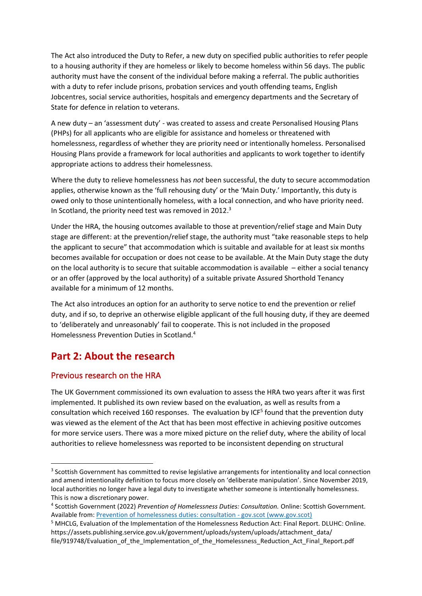The Act also introduced the Duty to Refer, a new duty on specified public authorities to refer people to a housing authority if they are homeless or likely to become homeless within 56 days. The public authority must have the consent of the individual before making a referral. The public authorities with a duty to refer include prisons, probation services and youth offending teams, English Jobcentres, social service authorities, hospitals and emergency departments and the Secretary of State for defence in relation to veterans.

A new duty – an 'assessment duty' - was created to assess and create Personalised Housing Plans (PHPs) for all applicants who are eligible for assistance and homeless or threatened with homelessness, regardless of whether they are priority need or intentionally homeless. Personalised Housing Plans provide a framework for local authorities and applicants to work together to identify appropriate actions to address their homelessness.

Where the duty to relieve homelessness has *not* been successful, the duty to secure accommodation applies, otherwise known as the 'full rehousing duty' or the 'Main Duty.' Importantly, this duty is owed only to those unintentionally homeless, with a local connection, and who have priority need. In Scotland, the priority need test was removed in 2012.<sup>3</sup>

Under the HRA, the housing outcomes available to those at prevention/relief stage and Main Duty stage are different: at the prevention/relief stage, the authority must "take reasonable steps to help the applicant to secure" that accommodation which is suitable and available for at least six months becomes available for occupation or does not cease to be available. At the Main Duty stage the duty on the local authority is to secure that suitable accommodation is available – either a social tenancy or an offer (approved by the local authority) of a suitable private Assured Shorthold Tenancy available for a minimum of 12 months.

The Act also introduces an option for an authority to serve notice to end the prevention or relief duty, and if so, to deprive an otherwise eligible applicant of the full housing duty, if they are deemed to 'deliberately and unreasonably' fail to cooperate. This is not included in the proposed Homelessness Prevention Duties in Scotland.<sup>4</sup>

# **Part 2: About the research**

## Previous research on the HRA

The UK Government commissioned its own evaluation to assess the HRA two years after it was first implemented. It published its own review based on the evaluation, as well as results from a consultation which received 160 responses. The evaluation by ICF<sup>5</sup> found that the prevention duty was viewed as the element of the Act that has been most effective in achieving positive outcomes for more service users. There was a more mixed picture on the relief duty, where the ability of local authorities to relieve homelessness was reported to be inconsistent depending on structural

<sup>&</sup>lt;sup>3</sup> Scottish Government has committed to revise legislative arrangements for intentionality and local connection and amend intentionality definition to focus more closely on 'deliberate manipulation'. Since November 2019, local authorities no longer have a legal duty to investigate whether someone is intentionally homelessness. This is now a discretionary power.

<sup>4</sup> Scottish Government (2022) *Prevention of Homelessness Duties: Consultation.* Online: Scottish Government. Available from: [Prevention of homelessness duties: consultation -](https://www.gov.scot/publications/prevention-homelessness-duties-joint-scottish-government-cosla-consultation/) gov.scot (www.gov.scot)

<sup>5</sup> MHCLG, Evaluation of the Implementation of the Homelessness Reduction Act: Final Report. DLUHC: Online. https://assets.publishing.service.gov.uk/government/uploads/system/uploads/attachment\_data/ file/919748/Evaluation\_of\_the\_Implementation\_of\_the\_Homelessness\_Reduction\_Act\_Final\_Report.pdf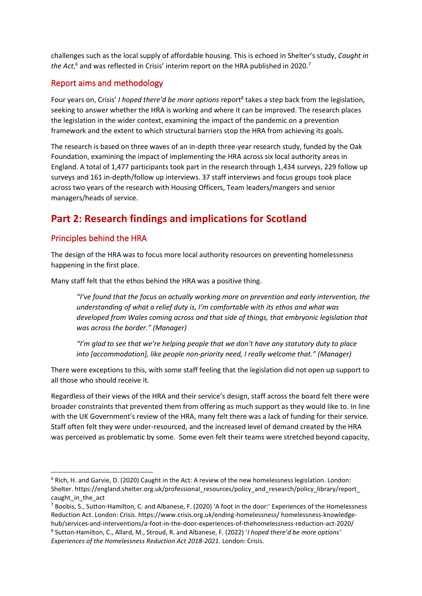challenges such as the local supply of affordable housing. This is echoed in Shelter's study, *Caught in*  the Act,<sup>6</sup> and was reflected in Crisis' interim report on the HRA published in 2020.<sup>7</sup>

# Report aims and methodology

Four years on, Crisis' I hoped there'd be more options report<sup>8</sup> takes a step back from the legislation, seeking to answer whether the HRA is working and where it can be improved. The research places the legislation in the wider context, examining the impact of the pandemic on a prevention framework and the extent to which structural barriers stop the HRA from achieving its goals.

The research is based on three waves of an in-depth three-year research study, funded by the Oak Foundation, examining the impact of implementing the HRA across six local authority areas in England. A total of 1,477 participants took part in the research through 1,434 surveys, 229 follow up surveys and 161 in-depth/follow up interviews. 37 staff interviews and focus groups took place across two years of the research with Housing Officers, Team leaders/mangers and senior managers/heads of service.

# **Part 2: Research findings and implications for Scotland**

# Principles behind the HRA

The design of the HRA was to focus more local authority resources on preventing homelessness happening in the first place.

Many staff felt that the ethos behind the HRA was a positive thing.

*"I've found that the focus on actually working more on prevention and early intervention, the understanding of what a relief duty is, I'm comfortable with its ethos and what was developed from Wales coming across and that side of things, that embryonic legislation that was across the border." (Manager)* 

*"I'm glad to see that we're helping people that we don't have any statutory duty to place into [accommodation], like people non-priority need, I really welcome that." (Manager)*

There were exceptions to this, with some staff feeling that the legislation did not open up support to all those who should receive it.

Regardless of their views of the HRA and their service's design, staff across the board felt there were broader constraints that prevented them from offering as much support as they would like to. In line with the UK Government's review of the HRA, many felt there was a lack of funding for their service. Staff often felt they were under-resourced, and the increased level of demand created by the HRA was perceived as problematic by some. Some even felt their teams were stretched beyond capacity,

<sup>6</sup> Rich, H. and Garvie, D. (2020) Caught in the Act: A review of the new homelessness legislation. London: Shelter. https://england.shelter.org.uk/professional\_resources/policy\_and\_research/policy\_library/report\_ caught in the act

<sup>7</sup> Boobis, S., Sutton-Hamilton, C. and Albanese, F. (2020) 'A foot in the door:' Experiences of the Homelessness Reduction Act. London: Crisis. https://www.crisis.org.uk/ending-homelessness/ homelessness-knowledgehub/services-and-interventions/a-foot-in-the-door-experiences-of-thehomelessness-reduction-act-2020/ 8 Sutton-Hamilton, C., Allard, M., Stroud, R. and Albanese, F. (2022) '*I hoped there'd be more options' Experiences of the Homelessness Reduction Act 2018-2021.* London: Crisis.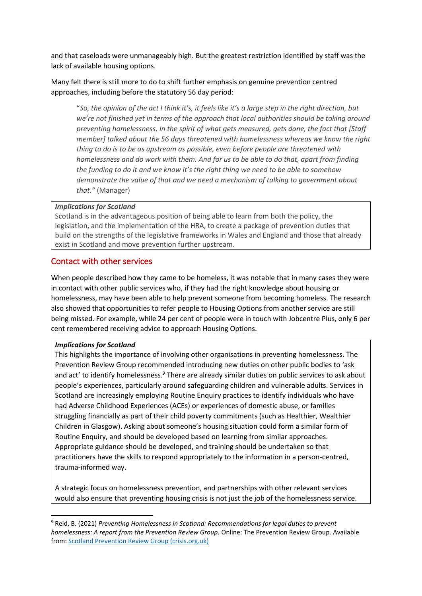and that caseloads were unmanageably high. But the greatest restriction identified by staff was the lack of available housing options.

Many felt there is still more to do to shift further emphasis on genuine prevention centred approaches, including before the statutory 56 day period:

"*So, the opinion of the act I think it's, it feels like it's a large step in the right direction, but we're not finished yet in terms of the approach that local authorities should be taking around preventing homelessness. In the spirit of what gets measured, gets done, the fact that [Staff member] talked about the 56 days threatened with homelessness whereas we know the right thing to do is to be as upstream as possible, even before people are threatened with homelessness and do work with them. And for us to be able to do that, apart from finding the funding to do it and we know it's the right thing we need to be able to somehow demonstrate the value of that and we need a mechanism of talking to government about that."* (Manager)

#### *Implications for Scotland*

Scotland is in the advantageous position of being able to learn from both the policy, the legislation, and the implementation of the HRA, to create a package of prevention duties that build on the strengths of the legislative frameworks in Wales and England and those that already exist in Scotland and move prevention further upstream.

#### Contact with other services

When people described how they came to be homeless, it was notable that in many cases they were in contact with other public services who, if they had the right knowledge about housing or homelessness, may have been able to help prevent someone from becoming homeless. The research also showed that opportunities to refer people to Housing Options from another service are still being missed. For example, while 24 per cent of people were in touch with Jobcentre Plus, only 6 per cent remembered receiving advice to approach Housing Options.

#### *Implications for Scotland*

This highlights the importance of involving other organisations in preventing homelessness. The Prevention Review Group recommended introducing new duties on other public bodies to 'ask and act' to identify homelessness.<sup>9</sup> There are already similar duties on public services to ask about people's experiences, particularly around safeguarding children and vulnerable adults. Services in Scotland are increasingly employing Routine Enquiry practices to identify individuals who have had Adverse Childhood Experiences (ACEs) or experiences of domestic abuse, or families struggling financially as part of their child poverty commitments (such as Healthier, Wealthier Children in Glasgow). Asking about someone's housing situation could form a similar form of Routine Enquiry, and should be developed based on learning from similar approaches. Appropriate guidance should be developed, and training should be undertaken so that practitioners have the skills to respond appropriately to the information in a person-centred, trauma-informed way.

A strategic focus on homelessness prevention, and partnerships with other relevant services would also ensure that preventing housing crisis is not just the job of the homelessness service.

<sup>9</sup> Reid, B. (2021) *Preventing Homelessness in Scotland: Recommendations for legal duties to prevent homelessness: A report from the Prevention Review Group.* Online: The Prevention Review Group. Available from[: Scotland Prevention Review Group \(crisis.org.uk\)](https://www.crisis.org.uk/ending-homelessness/scotland-prevention-review-group/)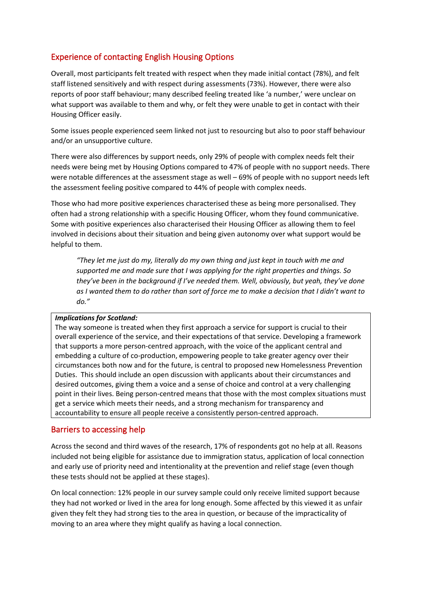# Experience of contacting English Housing Options

Overall, most participants felt treated with respect when they made initial contact (78%), and felt staff listened sensitively and with respect during assessments (73%). However, there were also reports of poor staff behaviour; many described feeling treated like 'a number,' were unclear on what support was available to them and why, or felt they were unable to get in contact with their Housing Officer easily.

Some issues people experienced seem linked not just to resourcing but also to poor staff behaviour and/or an unsupportive culture.

There were also differences by support needs, only 29% of people with complex needs felt their needs were being met by Housing Options compared to 47% of people with no support needs. There were notable differences at the assessment stage as well – 69% of people with no support needs left the assessment feeling positive compared to 44% of people with complex needs.

Those who had more positive experiences characterised these as being more personalised. They often had a strong relationship with a specific Housing Officer, whom they found communicative. Some with positive experiences also characterised their Housing Officer as allowing them to feel involved in decisions about their situation and being given autonomy over what support would be helpful to them.

*"They let me just do my, literally do my own thing and just kept in touch with me and supported me and made sure that I was applying for the right properties and things. So they've been in the background if I've needed them. Well, obviously, but yeah, they've done as I wanted them to do rather than sort of force me to make a decision that I didn't want to do."*

#### *Implications for Scotland:*

The way someone is treated when they first approach a service for support is crucial to their overall experience of the service, and their expectations of that service. Developing a framework that supports a more person-centred approach, with the voice of the applicant central and embedding a culture of co-production, empowering people to take greater agency over their circumstances both now and for the future, is central to proposed new Homelessness Prevention Duties. This should include an open discussion with applicants about their circumstances and desired outcomes, giving them a voice and a sense of choice and control at a very challenging point in their lives. Being person-centred means that those with the most complex situations must get a service which meets their needs, and a strong mechanism for transparency and accountability to ensure all people receive a consistently person-centred approach.

## Barriers to accessing help

Across the second and third waves of the research, 17% of respondents got no help at all. Reasons included not being eligible for assistance due to immigration status, application of local connection and early use of priority need and intentionality at the prevention and relief stage (even though these tests should not be applied at these stages).

On local connection: 12% people in our survey sample could only receive limited support because they had not worked or lived in the area for long enough. Some affected by this viewed it as unfair given they felt they had strong ties to the area in question, or because of the impracticality of moving to an area where they might qualify as having a local connection.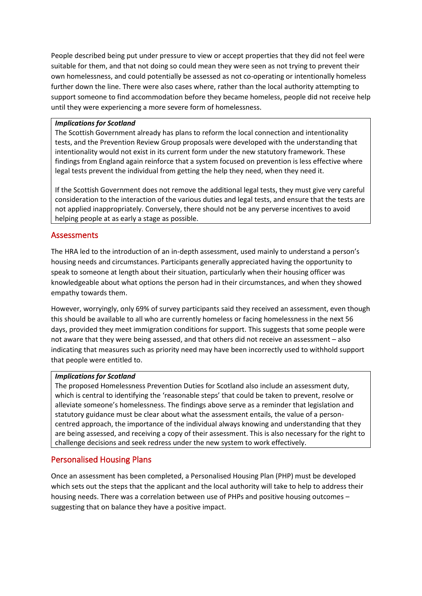People described being put under pressure to view or accept properties that they did not feel were suitable for them, and that not doing so could mean they were seen as not trying to prevent their own homelessness, and could potentially be assessed as not co-operating or intentionally homeless further down the line. There were also cases where, rather than the local authority attempting to support someone to find accommodation before they became homeless, people did not receive help until they were experiencing a more severe form of homelessness.

#### *Implications for Scotland*

The Scottish Government already has plans to reform the local connection and intentionality tests, and the Prevention Review Group proposals were developed with the understanding that intentionality would not exist in its current form under the new statutory framework. These findings from England again reinforce that a system focused on prevention is less effective where legal tests prevent the individual from getting the help they need, when they need it.

If the Scottish Government does not remove the additional legal tests, they must give very careful consideration to the interaction of the various duties and legal tests, and ensure that the tests are not applied inappropriately. Conversely, there should not be any perverse incentives to avoid helping people at as early a stage as possible.

### Assessments

The HRA led to the introduction of an in-depth assessment, used mainly to understand a person's housing needs and circumstances. Participants generally appreciated having the opportunity to speak to someone at length about their situation, particularly when their housing officer was knowledgeable about what options the person had in their circumstances, and when they showed empathy towards them.

However, worryingly, only 69% of survey participants said they received an assessment, even though this should be available to all who are currently homeless or facing homelessness in the next 56 days, provided they meet immigration conditions for support. This suggests that some people were not aware that they were being assessed, and that others did not receive an assessment – also indicating that measures such as priority need may have been incorrectly used to withhold support that people were entitled to.

#### *Implications for Scotland*

The proposed Homelessness Prevention Duties for Scotland also include an assessment duty, which is central to identifying the 'reasonable steps' that could be taken to prevent, resolve or alleviate someone's homelessness. The findings above serve as a reminder that legislation and statutory guidance must be clear about what the assessment entails, the value of a personcentred approach, the importance of the individual always knowing and understanding that they are being assessed, and receiving a copy of their assessment. This is also necessary for the right to challenge decisions and seek redress under the new system to work effectively.

## Personalised Housing Plans

Once an assessment has been completed, a Personalised Housing Plan (PHP) must be developed which sets out the steps that the applicant and the local authority will take to help to address their housing needs. There was a correlation between use of PHPs and positive housing outcomes – suggesting that on balance they have a positive impact.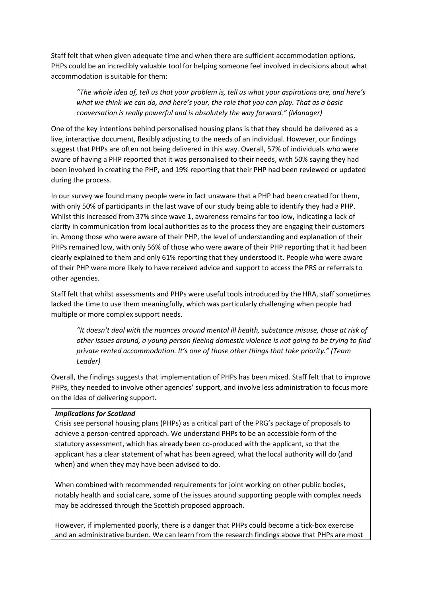Staff felt that when given adequate time and when there are sufficient accommodation options, PHPs could be an incredibly valuable tool for helping someone feel involved in decisions about what accommodation is suitable for them:

*"The whole idea of, tell us that your problem is, tell us what your aspirations are, and here's what we think we can do, and here's your, the role that you can play. That as a basic conversation is really powerful and is absolutely the way forward." (Manager)*

One of the key intentions behind personalised housing plans is that they should be delivered as a live, interactive document, flexibly adjusting to the needs of an individual. However, our findings suggest that PHPs are often not being delivered in this way. Overall, 57% of individuals who were aware of having a PHP reported that it was personalised to their needs, with 50% saying they had been involved in creating the PHP, and 19% reporting that their PHP had been reviewed or updated during the process.

In our survey we found many people were in fact unaware that a PHP had been created for them, with only 50% of participants in the last wave of our study being able to identify they had a PHP. Whilst this increased from 37% since wave 1, awareness remains far too low, indicating a lack of clarity in communication from local authorities as to the process they are engaging their customers in. Among those who were aware of their PHP, the level of understanding and explanation of their PHPs remained low, with only 56% of those who were aware of their PHP reporting that it had been clearly explained to them and only 61% reporting that they understood it. People who were aware of their PHP were more likely to have received advice and support to access the PRS or referrals to other agencies.

Staff felt that whilst assessments and PHPs were useful tools introduced by the HRA, staff sometimes lacked the time to use them meaningfully, which was particularly challenging when people had multiple or more complex support needs.

*"It doesn't deal with the nuances around mental ill health, substance misuse, those at risk of other issues around, a young person fleeing domestic violence is not going to be trying to find private rented accommodation. It's one of those other things that take priority." (Team Leader)*

Overall, the findings suggests that implementation of PHPs has been mixed. Staff felt that to improve PHPs, they needed to involve other agencies' support, and involve less administration to focus more on the idea of delivering support.

#### *Implications for Scotland*

Crisis see personal housing plans (PHPs) as a critical part of the PRG's package of proposals to achieve a person-centred approach. We understand PHPs to be an accessible form of the statutory assessment, which has already been co-produced with the applicant, so that the applicant has a clear statement of what has been agreed, what the local authority will do (and when) and when they may have been advised to do.

When combined with recommended requirements for joint working on other public bodies, notably health and social care, some of the issues around supporting people with complex needs may be addressed through the Scottish proposed approach.

However, if implemented poorly, there is a danger that PHPs could become a tick-box exercise and an administrative burden. We can learn from the research findings above that PHPs are most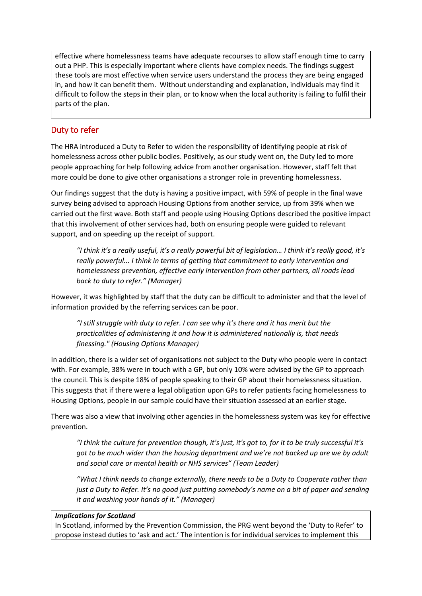effective where homelessness teams have adequate recourses to allow staff enough time to carry out a PHP. This is especially important where clients have complex needs. The findings suggest these tools are most effective when service users understand the process they are being engaged in, and how it can benefit them. Without understanding and explanation, individuals may find it difficult to follow the steps in their plan, or to know when the local authority is failing to fulfil their parts of the plan.

# Duty to refer

The HRA introduced a Duty to Refer to widen the responsibility of identifying people at risk of homelessness across other public bodies. Positively, as our study went on, the Duty led to more people approaching for help following advice from another organisation. However, staff felt that more could be done to give other organisations a stronger role in preventing homelessness.

Our findings suggest that the duty is having a positive impact, with 59% of people in the final wave survey being advised to approach Housing Options from another service, up from 39% when we carried out the first wave. Both staff and people using Housing Options described the positive impact that this involvement of other services had, both on ensuring people were guided to relevant support, and on speeding up the receipt of support.

*"I think it's a really useful, it's a really powerful bit of legislation… I think it's really good, it's really powerful... I think in terms of getting that commitment to early intervention and homelessness prevention, effective early intervention from other partners, all roads lead back to duty to refer." (Manager)*

However, it was highlighted by staff that the duty can be difficult to administer and that the level of information provided by the referring services can be poor.

*"I still struggle with duty to refer. I can see why it's there and it has merit but the practicalities of administering it and how it is administered nationally is, that needs finessing." (Housing Options Manager)*

In addition, there is a wider set of organisations not subject to the Duty who people were in contact with. For example, 38% were in touch with a GP, but only 10% were advised by the GP to approach the council. This is despite 18% of people speaking to their GP about their homelessness situation. This suggests that if there were a legal obligation upon GPs to refer patients facing homelessness to Housing Options, people in our sample could have their situation assessed at an earlier stage.

There was also a view that involving other agencies in the homelessness system was key for effective prevention.

*"I think the culture for prevention though, it's just, it's got to, for it to be truly successful it's got to be much wider than the housing department and we're not backed up are we by adult and social care or mental health or NHS services" (Team Leader)*

*"What I think needs to change externally, there needs to be a Duty to Cooperate rather than just a Duty to Refer. It's no good just putting somebody's name on a bit of paper and sending it and washing your hands of it." (Manager)*

#### *Implications for Scotland*

In Scotland, informed by the Prevention Commission, the PRG went beyond the 'Duty to Refer' to propose instead duties to 'ask and act.' The intention is for individual services to implement this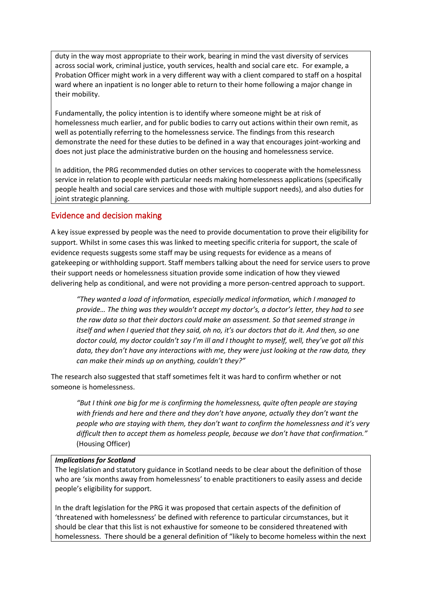duty in the way most appropriate to their work, bearing in mind the vast diversity of services across social work, criminal justice, youth services, health and social care etc. For example, a Probation Officer might work in a very different way with a client compared to staff on a hospital ward where an inpatient is no longer able to return to their home following a major change in their mobility.

Fundamentally, the policy intention is to identify where someone might be at risk of homelessness much earlier, and for public bodies to carry out actions within their own remit, as well as potentially referring to the homelessness service. The findings from this research demonstrate the need for these duties to be defined in a way that encourages joint-working and does not just place the administrative burden on the housing and homelessness service.

In addition, the PRG recommended duties on other services to cooperate with the homelessness service in relation to people with particular needs making homelessness applications (specifically people health and social care services and those with multiple support needs), and also duties for joint strategic planning.

# Evidence and decision making

A key issue expressed by people was the need to provide documentation to prove their eligibility for support. Whilst in some cases this was linked to meeting specific criteria for support, the scale of evidence requests suggests some staff may be using requests for evidence as a means of gatekeeping or withholding support. Staff members talking about the need for service users to prove their support needs or homelessness situation provide some indication of how they viewed delivering help as conditional, and were not providing a more person-centred approach to support.

*"They wanted a load of information, especially medical information, which I managed to provide… The thing was they wouldn't accept my doctor's, a doctor's letter, they had to see the raw data so that their doctors could make an assessment. So that seemed strange in itself and when I queried that they said, oh no, it's our doctors that do it. And then, so one doctor could, my doctor couldn't say I'm ill and I thought to myself, well, they've got all this data, they don't have any interactions with me, they were just looking at the raw data, they can make their minds up on anything, couldn't they?"*

The research also suggested that staff sometimes felt it was hard to confirm whether or not someone is homelessness.

*"But I think one big for me is confirming the homelessness, quite often people are staying with friends and here and there and they don't have anyone, actually they don't want the people who are staying with them, they don't want to confirm the homelessness and it's very difficult then to accept them as homeless people, because we don't have that confirmation."*  (Housing Officer)

#### *Implications for Scotland*

The legislation and statutory guidance in Scotland needs to be clear about the definition of those who are 'six months away from homelessness' to enable practitioners to easily assess and decide people's eligibility for support.

In the draft legislation for the PRG it was proposed that certain aspects of the definition of 'threatened with homelessness' be defined with reference to particular circumstances, but it should be clear that this list is not exhaustive for someone to be considered threatened with homelessness. There should be a general definition of "likely to become homeless within the next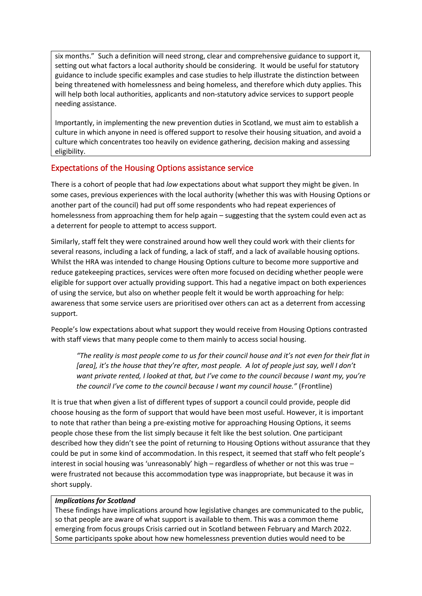six months." Such a definition will need strong, clear and comprehensive guidance to support it, setting out what factors a local authority should be considering. It would be useful for statutory guidance to include specific examples and case studies to help illustrate the distinction between being threatened with homelessness and being homeless, and therefore which duty applies. This will help both local authorities, applicants and non-statutory advice services to support people needing assistance.

Importantly, in implementing the new prevention duties in Scotland, we must aim to establish a culture in which anyone in need is offered support to resolve their housing situation, and avoid a culture which concentrates too heavily on evidence gathering, decision making and assessing eligibility.

# Expectations of the Housing Options assistance service

There is a cohort of people that had *low* expectations about what support they might be given. In some cases, previous experiences with the local authority (whether this was with Housing Options or another part of the council) had put off some respondents who had repeat experiences of homelessness from approaching them for help again – suggesting that the system could even act as a deterrent for people to attempt to access support.

Similarly, staff felt they were constrained around how well they could work with their clients for several reasons, including a lack of funding, a lack of staff, and a lack of available housing options. Whilst the HRA was intended to change Housing Options culture to become more supportive and reduce gatekeeping practices, services were often more focused on deciding whether people were eligible for support over actually providing support. This had a negative impact on both experiences of using the service, but also on whether people felt it would be worth approaching for help: awareness that some service users are prioritised over others can act as a deterrent from accessing support.

People's low expectations about what support they would receive from Housing Options contrasted with staff views that many people come to them mainly to access social housing.

*"The reality is most people come to us for their council house and it's not even for their flat in*  [area], it's the house that they're after, most people. A lot of people just say, well I don't *want private rented, I looked at that, but I've come to the council because I want my, you're the council I've come to the council because I want my council house."* (Frontline)

It is true that when given a list of different types of support a council could provide, people did choose housing as the form of support that would have been most useful. However, it is important to note that rather than being a pre-existing motive for approaching Housing Options, it seems people chose these from the list simply because it felt like the best solution. One participant described how they didn't see the point of returning to Housing Options without assurance that they could be put in some kind of accommodation. In this respect, it seemed that staff who felt people's interest in social housing was 'unreasonably' high – regardless of whether or not this was true – were frustrated not because this accommodation type was inappropriate, but because it was in short supply.

#### *Implications for Scotland*

These findings have implications around how legislative changes are communicated to the public, so that people are aware of what support is available to them. This was a common theme emerging from focus groups Crisis carried out in Scotland between February and March 2022. Some participants spoke about how new homelessness prevention duties would need to be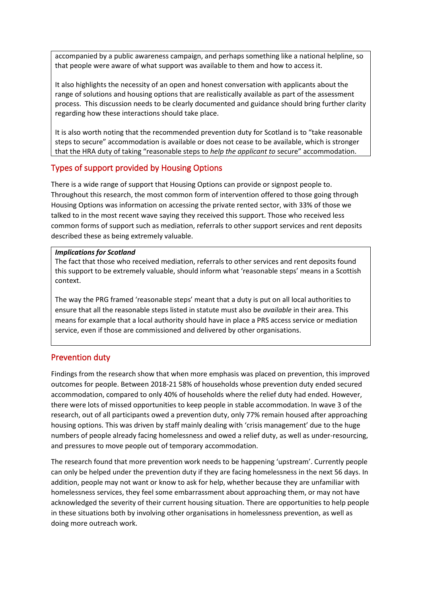accompanied by a public awareness campaign, and perhaps something like a national helpline, so that people were aware of what support was available to them and how to access it.

It also highlights the necessity of an open and honest conversation with applicants about the range of solutions and housing options that are realistically available as part of the assessment process. This discussion needs to be clearly documented and guidance should bring further clarity regarding how these interactions should take place.

It is also worth noting that the recommended prevention duty for Scotland is to "take reasonable steps to secure" accommodation is available or does not cease to be available, which is stronger that the HRA duty of taking "reasonable steps to *help the applicant to* secure" accommodation.

# Types of support provided by Housing Options

There is a wide range of support that Housing Options can provide or signpost people to. Throughout this research, the most common form of intervention offered to those going through Housing Options was information on accessing the private rented sector, with 33% of those we talked to in the most recent wave saying they received this support. Those who received less common forms of support such as mediation, referrals to other support services and rent deposits described these as being extremely valuable.

#### *Implications for Scotland*

The fact that those who received mediation, referrals to other services and rent deposits found this support to be extremely valuable, should inform what 'reasonable steps' means in a Scottish context.

The way the PRG framed 'reasonable steps' meant that a duty is put on all local authorities to ensure that all the reasonable steps listed in statute must also be *available* in their area. This means for example that a local authority should have in place a PRS access service or mediation service, even if those are commissioned and delivered by other organisations.

## Prevention duty

Findings from the research show that when more emphasis was placed on prevention, this improved outcomes for people. Between 2018-21 58% of households whose prevention duty ended secured accommodation, compared to only 40% of households where the relief duty had ended. However, there were lots of missed opportunities to keep people in stable accommodation. In wave 3 of the research, out of all participants owed a prevention duty, only 77% remain housed after approaching housing options. This was driven by staff mainly dealing with 'crisis management' due to the huge numbers of people already facing homelessness and owed a relief duty, as well as under-resourcing, and pressures to move people out of temporary accommodation.

The research found that more prevention work needs to be happening 'upstream'. Currently people can only be helped under the prevention duty if they are facing homelessness in the next 56 days. In addition, people may not want or know to ask for help, whether because they are unfamiliar with homelessness services, they feel some embarrassment about approaching them, or may not have acknowledged the severity of their current housing situation. There are opportunities to help people in these situations both by involving other organisations in homelessness prevention, as well as doing more outreach work.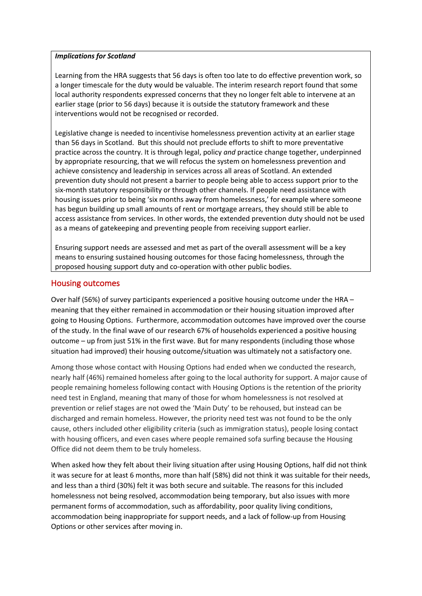#### *Implications for Scotland*

Learning from the HRA suggests that 56 days is often too late to do effective prevention work, so a longer timescale for the duty would be valuable. The interim research report found that some local authority respondents expressed concerns that they no longer felt able to intervene at an earlier stage (prior to 56 days) because it is outside the statutory framework and these interventions would not be recognised or recorded.

Legislative change is needed to incentivise homelessness prevention activity at an earlier stage than 56 days in Scotland. But this should not preclude efforts to shift to more preventative practice across the country. It is through legal, policy *and* practice change together, underpinned by appropriate resourcing, that we will refocus the system on homelessness prevention and achieve consistency and leadership in services across all areas of Scotland. An extended prevention duty should not present a barrier to people being able to access support prior to the six-month statutory responsibility or through other channels. If people need assistance with housing issues prior to being 'six months away from homelessness,' for example where someone has begun building up small amounts of rent or mortgage arrears, they should still be able to access assistance from services. In other words, the extended prevention duty should not be used as a means of gatekeeping and preventing people from receiving support earlier.

Ensuring support needs are assessed and met as part of the overall assessment will be a key means to ensuring sustained housing outcomes for those facing homelessness, through the proposed housing support duty and co-operation with other public bodies.

### Housing outcomes

Over half (56%) of survey participants experienced a positive housing outcome under the HRA – meaning that they either remained in accommodation or their housing situation improved after going to Housing Options. Furthermore, accommodation outcomes have improved over the course of the study. In the final wave of our research 67% of households experienced a positive housing outcome – up from just 51% in the first wave. But for many respondents (including those whose situation had improved) their housing outcome/situation was ultimately not a satisfactory one.

Among those whose contact with Housing Options had ended when we conducted the research, nearly half (46%) remained homeless after going to the local authority for support. A major cause of people remaining homeless following contact with Housing Options is the retention of the priority need test in England, meaning that many of those for whom homelessness is not resolved at prevention or relief stages are not owed the 'Main Duty' to be rehoused, but instead can be discharged and remain homeless. However, the priority need test was not found to be the only cause, others included other eligibility criteria (such as immigration status), people losing contact with housing officers, and even cases where people remained sofa surfing because the Housing Office did not deem them to be truly homeless.

When asked how they felt about their living situation after using Housing Options, half did not think it was secure for at least 6 months, more than half (58%) did not think it was suitable for their needs, and less than a third (30%) felt it was both secure and suitable. The reasons for this included homelessness not being resolved, accommodation being temporary, but also issues with more permanent forms of accommodation, such as affordability, poor quality living conditions, accommodation being inappropriate for support needs, and a lack of follow-up from Housing Options or other services after moving in.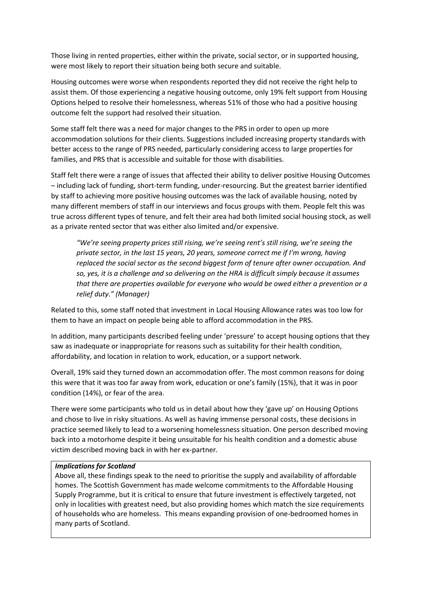Those living in rented properties, either within the private, social sector, or in supported housing, were most likely to report their situation being both secure and suitable.

Housing outcomes were worse when respondents reported they did not receive the right help to assist them. Of those experiencing a negative housing outcome, only 19% felt support from Housing Options helped to resolve their homelessness, whereas 51% of those who had a positive housing outcome felt the support had resolved their situation.

Some staff felt there was a need for major changes to the PRS in order to open up more accommodation solutions for their clients. Suggestions included increasing property standards with better access to the range of PRS needed, particularly considering access to large properties for families, and PRS that is accessible and suitable for those with disabilities.

Staff felt there were a range of issues that affected their ability to deliver positive Housing Outcomes – including lack of funding, short-term funding, under-resourcing. But the greatest barrier identified by staff to achieving more positive housing outcomes was the lack of available housing, noted by many different members of staff in our interviews and focus groups with them. People felt this was true across different types of tenure, and felt their area had both limited social housing stock, as well as a private rented sector that was either also limited and/or expensive.

*"We're seeing property prices still rising, we're seeing rent's still rising, we're seeing the private sector, in the last 15 years, 20 years, someone correct me if I'm wrong, having replaced the social sector as the second biggest form of tenure after owner occupation. And so, yes, it is a challenge and so delivering on the HRA is difficult simply because it assumes that there are properties available for everyone who would be owed either a prevention or a relief duty." (Manager)*

Related to this, some staff noted that investment in Local Housing Allowance rates was too low for them to have an impact on people being able to afford accommodation in the PRS.

In addition, many participants described feeling under 'pressure' to accept housing options that they saw as inadequate or inappropriate for reasons such as suitability for their health condition, affordability, and location in relation to work, education, or a support network.

Overall, 19% said they turned down an accommodation offer. The most common reasons for doing this were that it was too far away from work, education or one's family (15%), that it was in poor condition (14%), or fear of the area.

There were some participants who told us in detail about how they 'gave up' on Housing Options and chose to live in risky situations. As well as having immense personal costs, these decisions in practice seemed likely to lead to a worsening homelessness situation. One person described moving back into a motorhome despite it being unsuitable for his health condition and a domestic abuse victim described moving back in with her ex-partner.

#### *Implications for Scotland*

Above all, these findings speak to the need to prioritise the supply and availability of affordable homes. The Scottish Government has made welcome commitments to the Affordable Housing Supply Programme, but it is critical to ensure that future investment is effectively targeted, not only in localities with greatest need, but also providing homes which match the size requirements of households who are homeless. This means expanding provision of one-bedroomed homes in many parts of Scotland.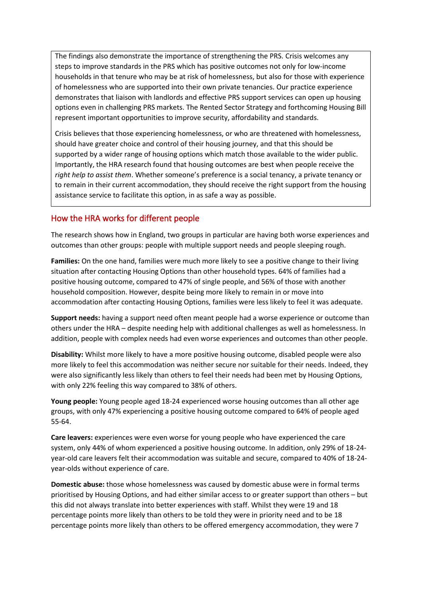The findings also demonstrate the importance of strengthening the PRS. Crisis welcomes any steps to improve standards in the PRS which has positive outcomes not only for low-income households in that tenure who may be at risk of homelessness, but also for those with experience of homelessness who are supported into their own private tenancies. Our practice experience demonstrates that liaison with landlords and effective PRS support services can open up housing options even in challenging PRS markets. The Rented Sector Strategy and forthcoming Housing Bill represent important opportunities to improve security, affordability and standards.

Crisis believes that those experiencing homelessness, or who are threatened with homelessness, should have greater choice and control of their housing journey, and that this should be supported by a wider range of housing options which match those available to the wider public. Importantly, the HRA research found that housing outcomes are best when people receive the *right help to assist them*. Whether someone's preference is a social tenancy, a private tenancy or to remain in their current accommodation, they should receive the right support from the housing assistance service to facilitate this option, in as safe a way as possible.

#### How the HRA works for different people

The research shows how in England, two groups in particular are having both worse experiences and outcomes than other groups: people with multiple support needs and people sleeping rough.

**Families:** On the one hand, families were much more likely to see a positive change to their living situation after contacting Housing Options than other household types. 64% of families had a positive housing outcome, compared to 47% of single people, and 56% of those with another household composition. However, despite being more likely to remain in or move into accommodation after contacting Housing Options, families were less likely to feel it was adequate.

**Support needs:** having a support need often meant people had a worse experience or outcome than others under the HRA – despite needing help with additional challenges as well as homelessness. In addition, people with complex needs had even worse experiences and outcomes than other people.

**Disability:** Whilst more likely to have a more positive housing outcome, disabled people were also more likely to feel this accommodation was neither secure nor suitable for their needs. Indeed, they were also significantly less likely than others to feel their needs had been met by Housing Options, with only 22% feeling this way compared to 38% of others.

**Young people:** Young people aged 18-24 experienced worse housing outcomes than all other age groups, with only 47% experiencing a positive housing outcome compared to 64% of people aged 55-64.

**Care leavers:** experiences were even worse for young people who have experienced the care system, only 44% of whom experienced a positive housing outcome. In addition, only 29% of 18-24 year-old care leavers felt their accommodation was suitable and secure, compared to 40% of 18-24 year-olds without experience of care.

**Domestic abuse:** those whose homelessness was caused by domestic abuse were in formal terms prioritised by Housing Options, and had either similar access to or greater support than others – but this did not always translate into better experiences with staff. Whilst they were 19 and 18 percentage points more likely than others to be told they were in priority need and to be 18 percentage points more likely than others to be offered emergency accommodation, they were 7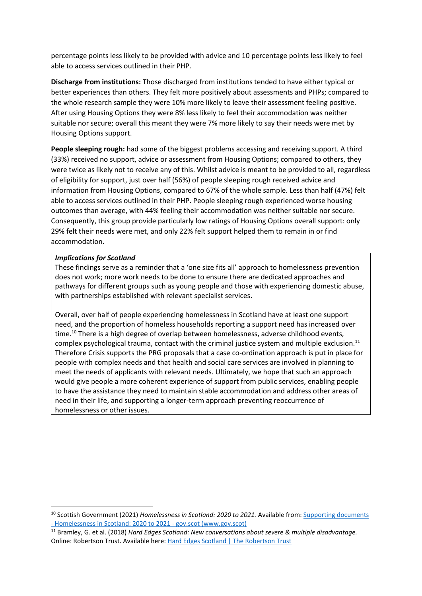percentage points less likely to be provided with advice and 10 percentage points less likely to feel able to access services outlined in their PHP.

**Discharge from institutions:** Those discharged from institutions tended to have either typical or better experiences than others. They felt more positively about assessments and PHPs; compared to the whole research sample they were 10% more likely to leave their assessment feeling positive. After using Housing Options they were 8% less likely to feel their accommodation was neither suitable nor secure; overall this meant they were 7% more likely to say their needs were met by Housing Options support.

People sleeping rough: had some of the biggest problems accessing and receiving support. A third (33%) received no support, advice or assessment from Housing Options; compared to others, they were twice as likely not to receive any of this. Whilst advice is meant to be provided to all, regardless of eligibility for support, just over half (56%) of people sleeping rough received advice and information from Housing Options, compared to 67% of the whole sample. Less than half (47%) felt able to access services outlined in their PHP. People sleeping rough experienced worse housing outcomes than average, with 44% feeling their accommodation was neither suitable nor secure. Consequently, this group provide particularly low ratings of Housing Options overall support: only 29% felt their needs were met, and only 22% felt support helped them to remain in or find accommodation.

#### *Implications for Scotland*

These findings serve as a reminder that a 'one size fits all' approach to homelessness prevention does not work; more work needs to be done to ensure there are dedicated approaches and pathways for different groups such as young people and those with experiencing domestic abuse, with partnerships established with relevant specialist services.

Overall, over half of people experiencing homelessness in Scotland have at least one support need, and the proportion of homeless households reporting a support need has increased over time.<sup>10</sup> There is a high degree of overlap between homelessness, adverse childhood events, complex psychological trauma, contact with the criminal justice system and multiple exclusion.<sup>11</sup> Therefore Crisis supports the PRG proposals that a case co-ordination approach is put in place for people with complex needs and that health and social care services are involved in planning to meet the needs of applicants with relevant needs. Ultimately, we hope that such an approach would give people a more coherent experience of support from public services, enabling people to have the assistance they need to maintain stable accommodation and address other areas of need in their life, and supporting a longer-term approach preventing reoccurrence of homelessness or other issues.

<sup>&</sup>lt;sup>10</sup> Scottish Government (2021) *Homelessness in Scotland: 2020 to 2021*. Available from: Supporting documents - [Homelessness in Scotland: 2020 to 2021 -](https://www.gov.scot/publications/homelessness-scotland-2020-2021/documents/) gov.scot (www.gov.scot)

<sup>11</sup> Bramley, G. et al. (2018) *Hard Edges Scotland: New conversations about severe & multiple disadvantage.*  Online: Robertson Trust. Available here[: Hard Edges Scotland | The Robertson Trust](https://www.therobertsontrust.org.uk/publications/hard-edges-scotland/)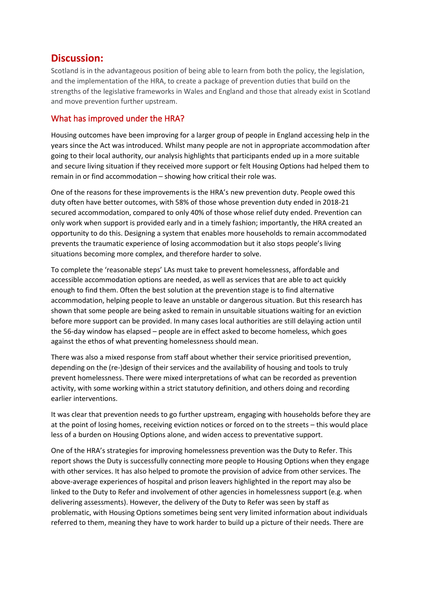# **Discussion:**

Scotland is in the advantageous position of being able to learn from both the policy, the legislation, and the implementation of the HRA, to create a package of prevention duties that build on the strengths of the legislative frameworks in Wales and England and those that already exist in Scotland and move prevention further upstream.

## What has improved under the HRA?

Housing outcomes have been improving for a larger group of people in England accessing help in the years since the Act was introduced. Whilst many people are not in appropriate accommodation after going to their local authority, our analysis highlights that participants ended up in a more suitable and secure living situation if they received more support or felt Housing Options had helped them to remain in or find accommodation – showing how critical their role was.

One of the reasons for these improvements is the HRA's new prevention duty. People owed this duty often have better outcomes, with 58% of those whose prevention duty ended in 2018-21 secured accommodation, compared to only 40% of those whose relief duty ended. Prevention can only work when support is provided early and in a timely fashion; importantly, the HRA created an opportunity to do this. Designing a system that enables more households to remain accommodated prevents the traumatic experience of losing accommodation but it also stops people's living situations becoming more complex, and therefore harder to solve.

To complete the 'reasonable steps' LAs must take to prevent homelessness, affordable and accessible accommodation options are needed, as well as services that are able to act quickly enough to find them. Often the best solution at the prevention stage is to find alternative accommodation, helping people to leave an unstable or dangerous situation. But this research has shown that some people are being asked to remain in unsuitable situations waiting for an eviction before more support can be provided. In many cases local authorities are still delaying action until the 56-day window has elapsed – people are in effect asked to become homeless, which goes against the ethos of what preventing homelessness should mean.

There was also a mixed response from staff about whether their service prioritised prevention, depending on the (re-)design of their services and the availability of housing and tools to truly prevent homelessness. There were mixed interpretations of what can be recorded as prevention activity, with some working within a strict statutory definition, and others doing and recording earlier interventions.

It was clear that prevention needs to go further upstream, engaging with households before they are at the point of losing homes, receiving eviction notices or forced on to the streets – this would place less of a burden on Housing Options alone, and widen access to preventative support.

One of the HRA's strategies for improving homelessness prevention was the Duty to Refer. This report shows the Duty is successfully connecting more people to Housing Options when they engage with other services. It has also helped to promote the provision of advice from other services. The above-average experiences of hospital and prison leavers highlighted in the report may also be linked to the Duty to Refer and involvement of other agencies in homelessness support (e.g. when delivering assessments). However, the delivery of the Duty to Refer was seen by staff as problematic, with Housing Options sometimes being sent very limited information about individuals referred to them, meaning they have to work harder to build up a picture of their needs. There are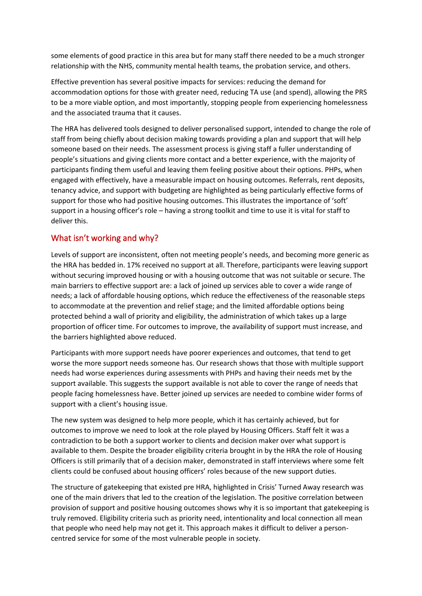some elements of good practice in this area but for many staff there needed to be a much stronger relationship with the NHS, community mental health teams, the probation service, and others.

Effective prevention has several positive impacts for services: reducing the demand for accommodation options for those with greater need, reducing TA use (and spend), allowing the PRS to be a more viable option, and most importantly, stopping people from experiencing homelessness and the associated trauma that it causes.

The HRA has delivered tools designed to deliver personalised support, intended to change the role of staff from being chiefly about decision making towards providing a plan and support that will help someone based on their needs. The assessment process is giving staff a fuller understanding of people's situations and giving clients more contact and a better experience, with the majority of participants finding them useful and leaving them feeling positive about their options. PHPs, when engaged with effectively, have a measurable impact on housing outcomes. Referrals, rent deposits, tenancy advice, and support with budgeting are highlighted as being particularly effective forms of support for those who had positive housing outcomes. This illustrates the importance of 'soft' support in a housing officer's role – having a strong toolkit and time to use it is vital for staff to deliver this.

# What isn't working and why?

Levels of support are inconsistent, often not meeting people's needs, and becoming more generic as the HRA has bedded in. 17% received no support at all. Therefore, participants were leaving support without securing improved housing or with a housing outcome that was not suitable or secure. The main barriers to effective support are: a lack of joined up services able to cover a wide range of needs; a lack of affordable housing options, which reduce the effectiveness of the reasonable steps to accommodate at the prevention and relief stage; and the limited affordable options being protected behind a wall of priority and eligibility, the administration of which takes up a large proportion of officer time. For outcomes to improve, the availability of support must increase, and the barriers highlighted above reduced.

Participants with more support needs have poorer experiences and outcomes, that tend to get worse the more support needs someone has. Our research shows that those with multiple support needs had worse experiences during assessments with PHPs and having their needs met by the support available. This suggests the support available is not able to cover the range of needs that people facing homelessness have. Better joined up services are needed to combine wider forms of support with a client's housing issue.

The new system was designed to help more people, which it has certainly achieved, but for outcomes to improve we need to look at the role played by Housing Officers. Staff felt it was a contradiction to be both a support worker to clients and decision maker over what support is available to them. Despite the broader eligibility criteria brought in by the HRA the role of Housing Officers is still primarily that of a decision maker, demonstrated in staff interviews where some felt clients could be confused about housing officers' roles because of the new support duties.

The structure of gatekeeping that existed pre HRA, highlighted in Crisis' Turned Away research was one of the main drivers that led to the creation of the legislation. The positive correlation between provision of support and positive housing outcomes shows why it is so important that gatekeeping is truly removed. Eligibility criteria such as priority need, intentionality and local connection all mean that people who need help may not get it. This approach makes it difficult to deliver a personcentred service for some of the most vulnerable people in society.